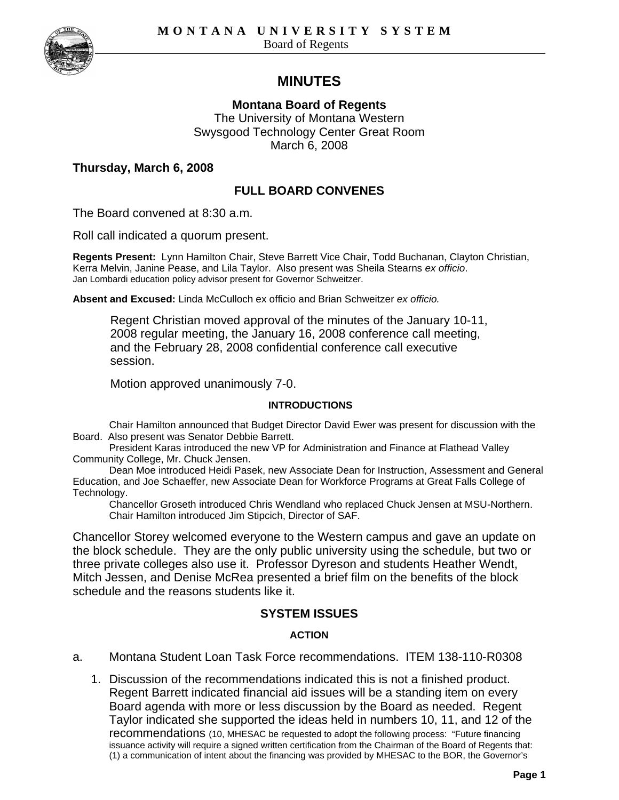

# **MINUTES**

**Montana Board of Regents** The University of Montana Western Swysgood Technology Center Great Room March 6, 2008

## **Thursday, March 6, 2008**

# **FULL BOARD CONVENES**

The Board convened at 8:30 a.m.

Roll call indicated a quorum present.

**Regents Present:** Lynn Hamilton Chair, Steve Barrett Vice Chair, Todd Buchanan, Clayton Christian, Kerra Melvin, Janine Pease, and Lila Taylor. Also present was Sheila Stearns *ex officio*. Jan Lombardi education policy advisor present for Governor Schweitzer.

**Absent and Excused:** Linda McCulloch ex officio and Brian Schweitzer *ex officio.*

Regent Christian moved approval of the minutes of the January 10-11, 2008 regular meeting, the January 16, 2008 conference call meeting, and the February 28, 2008 confidential conference call executive session.

Motion approved unanimously 7-0.

#### **INTRODUCTIONS**

Chair Hamilton announced that Budget Director David Ewer was present for discussion with the Board. Also present was Senator Debbie Barrett.

President Karas introduced the new VP for Administration and Finance at Flathead Valley Community College, Mr. Chuck Jensen.

Dean Moe introduced Heidi Pasek, new Associate Dean for Instruction, Assessment and General Education, and Joe Schaeffer, new Associate Dean for Workforce Programs at Great Falls College of Technology.

Chancellor Groseth introduced Chris Wendland who replaced Chuck Jensen at MSU-Northern. Chair Hamilton introduced Jim Stipcich, Director of SAF.

Chancellor Storey welcomed everyone to the Western campus and gave an update on the block schedule. They are the only public university using the schedule, but two or three private colleges also use it. Professor Dyreson and students Heather Wendt, Mitch Jessen, and Denise McRea presented a brief film on the benefits of the block schedule and the reasons students like it.

## **SYSTEM ISSUES**

## **ACTION**

- a. Montana Student Loan Task Force recommendations. ITEM 138-110-R0308
	- 1. Discussion of the recommendations indicated this is not a finished product. Regent Barrett indicated financial aid issues will be a standing item on every Board agenda with more or less discussion by the Board as needed. Regent Taylor indicated she supported the ideas held in numbers 10, 11, and 12 of the recommendations (10, MHESAC be requested to adopt the following process: "Future financing issuance activity will require a signed written certification from the Chairman of the Board of Regents that: (1) a communication of intent about the financing was provided by MHESAC to the BOR, the Governor's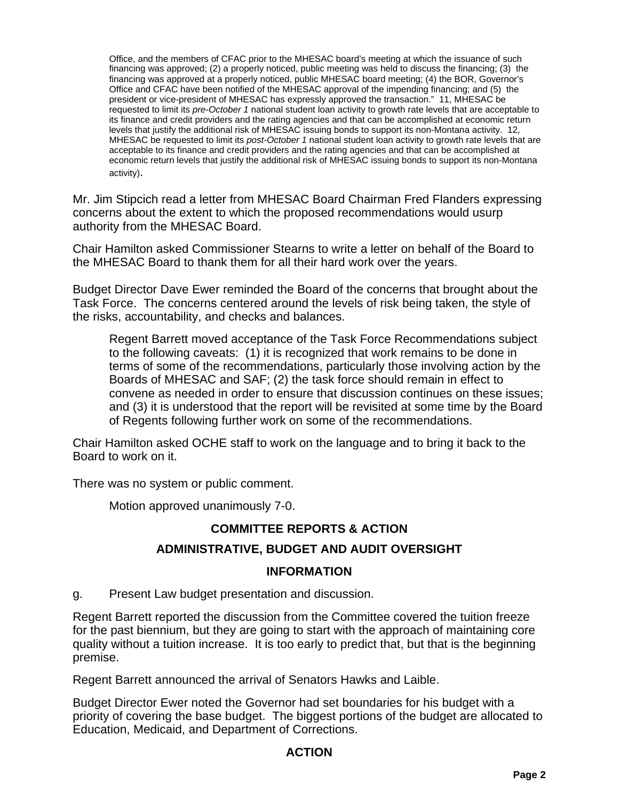Office, and the members of CFAC prior to the MHESAC board's meeting at which the issuance of such financing was approved; (2) a properly noticed, public meeting was held to discuss the financing; (3) the financing was approved at a properly noticed, public MHESAC board meeting; (4) the BOR, Governor's Office and CFAC have been notified of the MHESAC approval of the impending financing; and (5) the president or vice-president of MHESAC has expressly approved the transaction." 11, MHESAC be requested to limit its *pre-October 1* national student loan activity to growth rate levels that are acceptable to its finance and credit providers and the rating agencies and that can be accomplished at economic return levels that justify the additional risk of MHESAC issuing bonds to support its non-Montana activity. 12, MHESAC be requested to limit its *post-October 1* national student loan activity to growth rate levels that are acceptable to its finance and credit providers and the rating agencies and that can be accomplished at economic return levels that justify the additional risk of MHESAC issuing bonds to support its non-Montana activity).

Mr. Jim Stipcich read a letter from MHESAC Board Chairman Fred Flanders expressing concerns about the extent to which the proposed recommendations would usurp authority from the MHESAC Board.

Chair Hamilton asked Commissioner Stearns to write a letter on behalf of the Board to the MHESAC Board to thank them for all their hard work over the years.

Budget Director Dave Ewer reminded the Board of the concerns that brought about the Task Force. The concerns centered around the levels of risk being taken, the style of the risks, accountability, and checks and balances.

Regent Barrett moved acceptance of the Task Force Recommendations subject to the following caveats: (1) it is recognized that work remains to be done in terms of some of the recommendations, particularly those involving action by the Boards of MHESAC and SAF; (2) the task force should remain in effect to convene as needed in order to ensure that discussion continues on these issues; and (3) it is understood that the report will be revisited at some time by the Board of Regents following further work on some of the recommendations.

Chair Hamilton asked OCHE staff to work on the language and to bring it back to the Board to work on it.

There was no system or public comment.

Motion approved unanimously 7-0.

# **COMMITTEE REPORTS & ACTION**

# **ADMINISTRATIVE, BUDGET AND AUDIT OVERSIGHT**

## **INFORMATION**

g. Present Law budget presentation and discussion.

Regent Barrett reported the discussion from the Committee covered the tuition freeze for the past biennium, but they are going to start with the approach of maintaining core quality without a tuition increase. It is too early to predict that, but that is the beginning premise.

Regent Barrett announced the arrival of Senators Hawks and Laible.

Budget Director Ewer noted the Governor had set boundaries for his budget with a priority of covering the base budget. The biggest portions of the budget are allocated to Education, Medicaid, and Department of Corrections.

# **ACTION**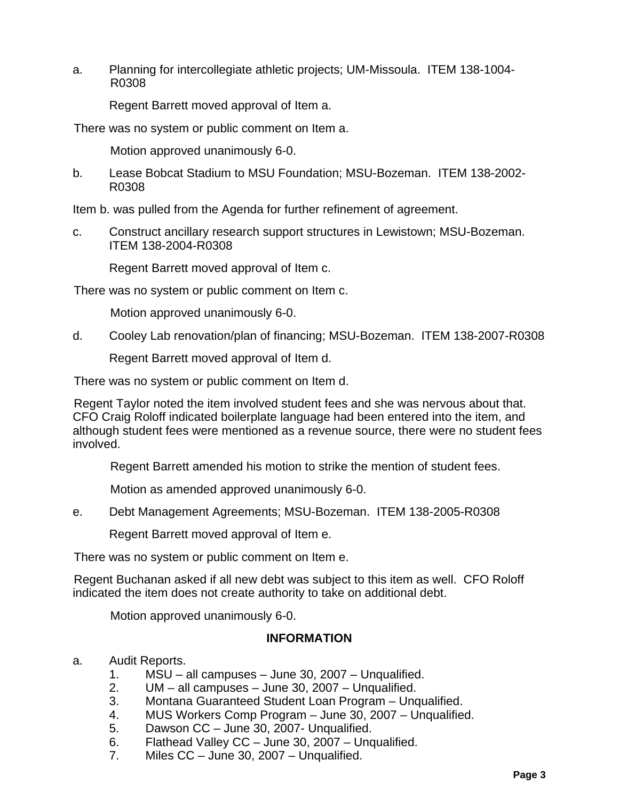a. Planning for intercollegiate athletic projects; UM-Missoula. ITEM 138-1004- R0308

Regent Barrett moved approval of Item a.

There was no system or public comment on Item a.

Motion approved unanimously 6-0.

b. Lease Bobcat Stadium to MSU Foundation; MSU-Bozeman. ITEM 138-2002- R0308

Item b. was pulled from the Agenda for further refinement of agreement.

c. Construct ancillary research support structures in Lewistown; MSU-Bozeman. ITEM 138-2004-R0308

Regent Barrett moved approval of Item c.

There was no system or public comment on Item c.

Motion approved unanimously 6-0.

d. Cooley Lab renovation/plan of financing; MSU-Bozeman. ITEM 138-2007-R0308

Regent Barrett moved approval of Item d.

There was no system or public comment on Item d.

Regent Taylor noted the item involved student fees and she was nervous about that. CFO Craig Roloff indicated boilerplate language had been entered into the item, and although student fees were mentioned as a revenue source, there were no student fees involved.

Regent Barrett amended his motion to strike the mention of student fees.

Motion as amended approved unanimously 6-0.

e. Debt Management Agreements; MSU-Bozeman. ITEM 138-2005-R0308

Regent Barrett moved approval of Item e.

There was no system or public comment on Item e.

Regent Buchanan asked if all new debt was subject to this item as well. CFO Roloff indicated the item does not create authority to take on additional debt.

Motion approved unanimously 6-0.

## **INFORMATION**

- a. Audit Reports.
	- 1. MSU all campuses June 30, 2007 Unqualified.
	- $UM all$  campuses June 30, 2007 Unqualified.
	- 3. Montana Guaranteed Student Loan Program Unqualified.
	- 4. MUS Workers Comp Program June 30, 2007 Unqualified.<br>5. Dawson CC June 30, 2007- Unqualified.
	- Dawson CC June 30, 2007- Unqualified.
	- 6. Flathead Valley CC June 30, 2007 Unqualified.
	- 7. Miles CC June 30, 2007 Unqualified.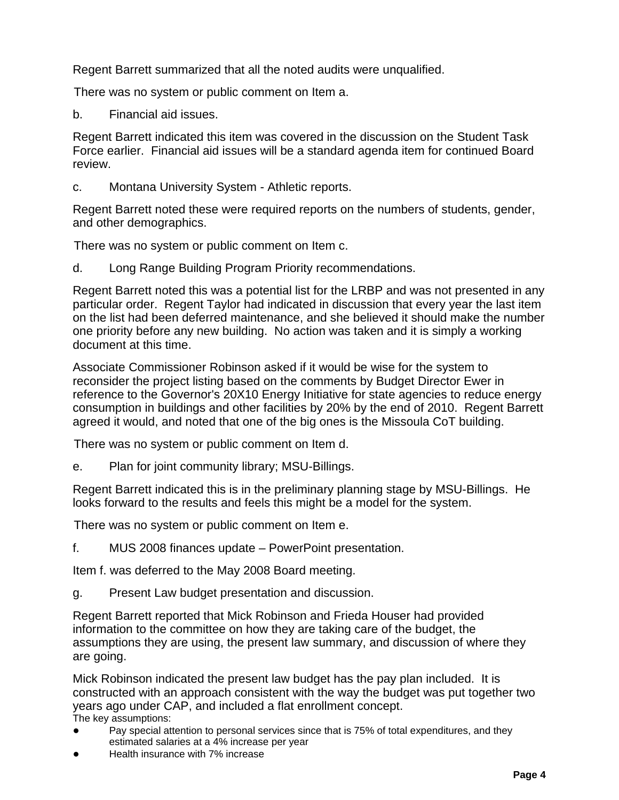Regent Barrett summarized that all the noted audits were unqualified.

There was no system or public comment on Item a.

b. Financial aid issues.

Regent Barrett indicated this item was covered in the discussion on the Student Task Force earlier. Financial aid issues will be a standard agenda item for continued Board review.

c. Montana University System - Athletic reports.

Regent Barrett noted these were required reports on the numbers of students, gender, and other demographics.

There was no system or public comment on Item c.

d. Long Range Building Program Priority recommendations.

Regent Barrett noted this was a potential list for the LRBP and was not presented in any particular order. Regent Taylor had indicated in discussion that every year the last item on the list had been deferred maintenance, and she believed it should make the number one priority before any new building. No action was taken and it is simply a working document at this time.

Associate Commissioner Robinson asked if it would be wise for the system to reconsider the project listing based on the comments by Budget Director Ewer in reference to the Governor's 20X10 Energy Initiative for state agencies to reduce energy consumption in buildings and other facilities by 20% by the end of 2010. Regent Barrett agreed it would, and noted that one of the big ones is the Missoula CoT building.

There was no system or public comment on Item d.

e. Plan for joint community library; MSU-Billings.

Regent Barrett indicated this is in the preliminary planning stage by MSU-Billings. He looks forward to the results and feels this might be a model for the system.

There was no system or public comment on Item e.

f. MUS 2008 finances update – PowerPoint presentation.

Item f. was deferred to the May 2008 Board meeting.

g. Present Law budget presentation and discussion.

Regent Barrett reported that Mick Robinson and Frieda Houser had provided information to the committee on how they are taking care of the budget, the assumptions they are using, the present law summary, and discussion of where they are going.

Mick Robinson indicated the present law budget has the pay plan included. It is constructed with an approach consistent with the way the budget was put together two years ago under CAP, and included a flat enrollment concept. The key assumptions:

- Pay special attention to personal services since that is 75% of total expenditures, and they estimated salaries at a 4% increase per year
- Health insurance with 7% increase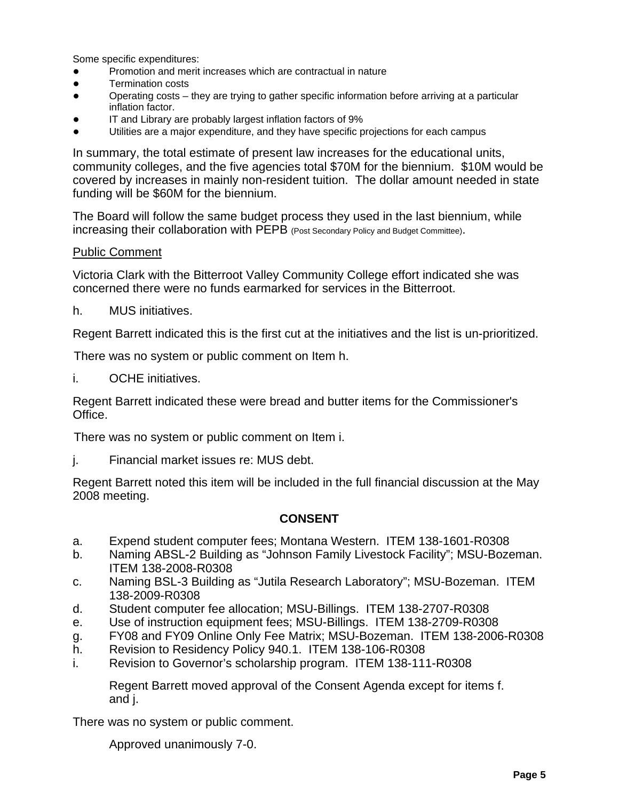Some specific expenditures:

- Promotion and merit increases which are contractual in nature
- Termination costs
- Operating costs they are trying to gather specific information before arriving at a particular inflation factor.
- IT and Library are probably largest inflation factors of 9%
- Utilities are a major expenditure, and they have specific projections for each campus

In summary, the total estimate of present law increases for the educational units, community colleges, and the five agencies total \$70M for the biennium. \$10M would be covered by increases in mainly non-resident tuition. The dollar amount needed in state funding will be \$60M for the biennium.

The Board will follow the same budget process they used in the last biennium, while increasing their collaboration with PEPB (Post Secondary Policy and Budget Committee).

#### Public Comment

Victoria Clark with the Bitterroot Valley Community College effort indicated she was concerned there were no funds earmarked for services in the Bitterroot.

h. MUS initiatives.

Regent Barrett indicated this is the first cut at the initiatives and the list is un-prioritized.

There was no system or public comment on Item h.

i. OCHE initiatives.

Regent Barrett indicated these were bread and butter items for the Commissioner's Office.

There was no system or public comment on Item i.

j. Financial market issues re: MUS debt.

Regent Barrett noted this item will be included in the full financial discussion at the May 2008 meeting.

## **CONSENT**

- a. Expend student computer fees; Montana Western. ITEM 138-1601-R0308
- b. Naming ABSL-2 Building as "Johnson Family Livestock Facility"; MSU-Bozeman. ITEM 138-2008-R0308
- c. Naming BSL-3 Building as "Jutila Research Laboratory"; MSU-Bozeman. ITEM 138-2009-R0308
- d. Student computer fee allocation; MSU-Billings. ITEM 138-2707-R0308
- e. Use of instruction equipment fees; MSU-Billings. ITEM 138-2709-R0308
- g. FY08 and FY09 Online Only Fee Matrix; MSU-Bozeman. ITEM 138-2006-R0308
- h. Revision to Residency Policy 940.1. ITEM 138-106-R0308
- i. Revision to Governor's scholarship program. ITEM 138-111-R0308

Regent Barrett moved approval of the Consent Agenda except for items f. and j.

There was no system or public comment.

Approved unanimously 7-0.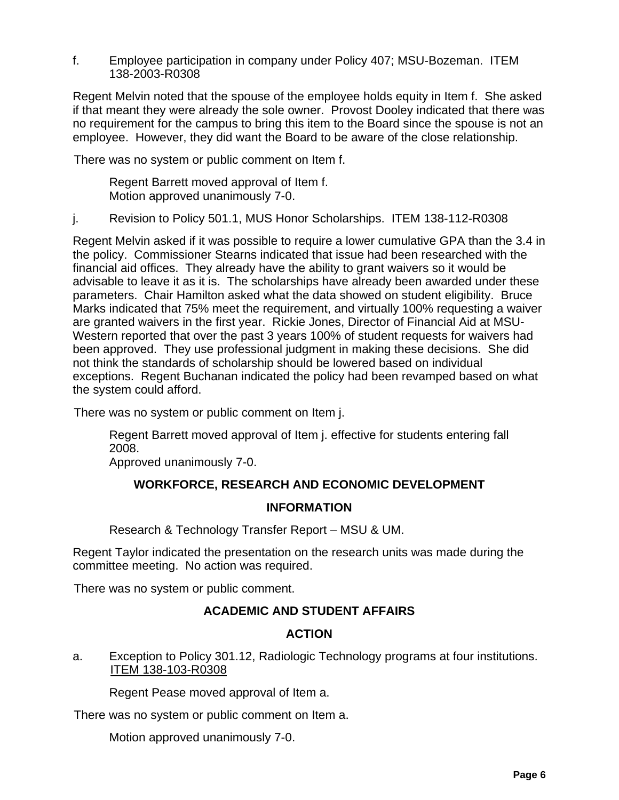f. Employee participation in company under Policy 407; MSU-Bozeman. ITEM 138-2003-R0308

Regent Melvin noted that the spouse of the employee holds equity in Item f. She asked if that meant they were already the sole owner. Provost Dooley indicated that there was no requirement for the campus to bring this item to the Board since the spouse is not an employee. However, they did want the Board to be aware of the close relationship.

There was no system or public comment on Item f.

Regent Barrett moved approval of Item f. Motion approved unanimously 7-0.

j. Revision to Policy 501.1, MUS Honor Scholarships. ITEM 138-112-R0308

Regent Melvin asked if it was possible to require a lower cumulative GPA than the 3.4 in the policy. Commissioner Stearns indicated that issue had been researched with the financial aid offices. They already have the ability to grant waivers so it would be advisable to leave it as it is. The scholarships have already been awarded under these parameters. Chair Hamilton asked what the data showed on student eligibility. Bruce Marks indicated that 75% meet the requirement, and virtually 100% requesting a waiver are granted waivers in the first year. Rickie Jones, Director of Financial Aid at MSU-Western reported that over the past 3 years 100% of student requests for waivers had been approved. They use professional judgment in making these decisions. She did not think the standards of scholarship should be lowered based on individual exceptions. Regent Buchanan indicated the policy had been revamped based on what the system could afford.

There was no system or public comment on Item j.

Regent Barrett moved approval of Item j. effective for students entering fall 2008.

Approved unanimously 7-0.

## **WORKFORCE, RESEARCH AND ECONOMIC DEVELOPMENT**

## **INFORMATION**

Research & Technology Transfer Report – MSU & UM.

Regent Taylor indicated the presentation on the research units was made during the committee meeting. No action was required.

There was no system or public comment.

## **ACADEMIC AND STUDENT AFFAIRS**

## **ACTION**

a. Exception to Policy 301.12, Radiologic Technology programs at four institutions. ITEM 138-103-R0308

Regent Pease moved approval of Item a.

There was no system or public comment on Item a.

Motion approved unanimously 7-0.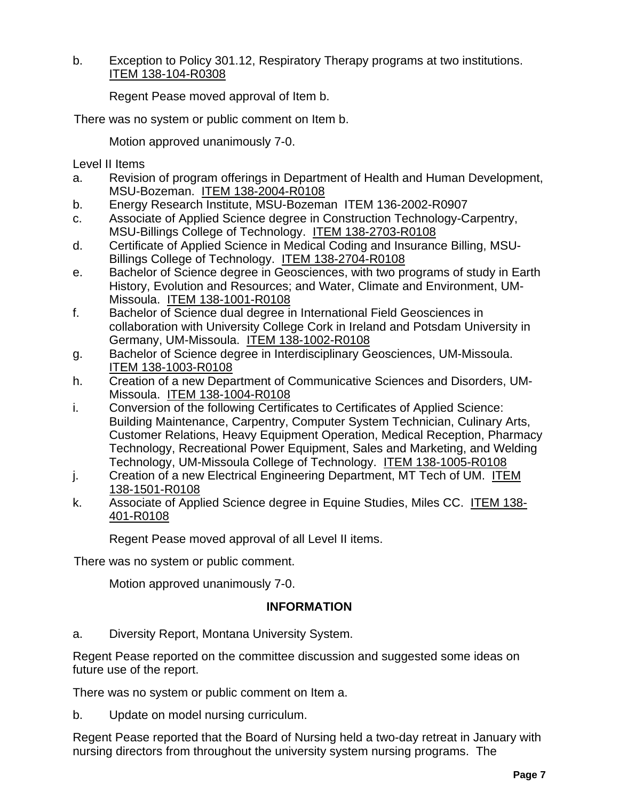b. Exception to Policy 301.12, Respiratory Therapy programs at two institutions. ITEM 138-104-R0308

Regent Pease moved approval of Item b.

There was no system or public comment on Item b.

Motion approved unanimously 7-0.

Level II Items

- a. Revision of program offerings in Department of Health and Human Development, MSU-Bozeman. ITEM 138-2004-R0108
- b. Energy Research Institute, MSU-Bozeman ITEM 136-2002-R0907
- c. Associate of Applied Science degree in Construction Technology-Carpentry, MSU-Billings College of Technology. ITEM 138-2703-R0108
- d. Certificate of Applied Science in Medical Coding and Insurance Billing, MSU-Billings College of Technology. ITEM 138-2704-R0108
- e. Bachelor of Science degree in Geosciences, with two programs of study in Earth History, Evolution and Resources; and Water, Climate and Environment, UM-Missoula. ITEM 138-1001-R0108
- f. Bachelor of Science dual degree in International Field Geosciences in collaboration with University College Cork in Ireland and Potsdam University in Germany, UM-Missoula. ITEM 138-1002-R0108
- g. Bachelor of Science degree in Interdisciplinary Geosciences, UM-Missoula. ITEM 138-1003-R0108
- h. Creation of a new Department of Communicative Sciences and Disorders, UM-Missoula. ITEM 138-1004-R0108
- i. Conversion of the following Certificates to Certificates of Applied Science: Building Maintenance, Carpentry, Computer System Technician, Culinary Arts, Customer Relations, Heavy Equipment Operation, Medical Reception, Pharmacy Technology, Recreational Power Equipment, Sales and Marketing, and Welding Technology, UM-Missoula College of Technology. ITEM 138-1005-R0108
- j. Creation of a new Electrical Engineering Department, MT Tech of UM. ITEM 138-1501-R0108
- k. Associate of Applied Science degree in Equine Studies, Miles CC. ITEM 138- 401-R0108

Regent Pease moved approval of all Level II items.

There was no system or public comment.

Motion approved unanimously 7-0.

## **INFORMATION**

a. Diversity Report, Montana University System.

Regent Pease reported on the committee discussion and suggested some ideas on future use of the report.

There was no system or public comment on Item a.

b. Update on model nursing curriculum.

Regent Pease reported that the Board of Nursing held a two-day retreat in January with nursing directors from throughout the university system nursing programs. The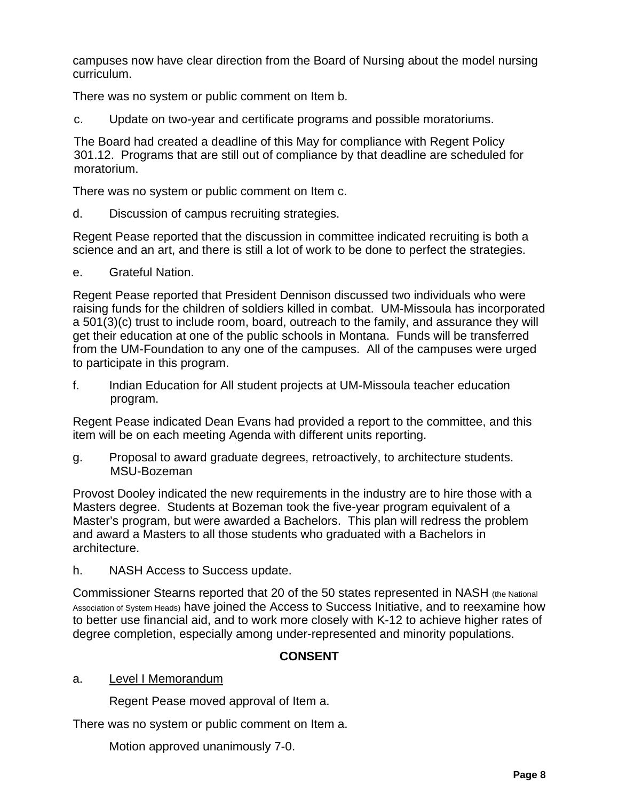campuses now have clear direction from the Board of Nursing about the model nursing curriculum.

There was no system or public comment on Item b.

c. Update on two-year and certificate programs and possible moratoriums.

The Board had created a deadline of this May for compliance with Regent Policy 301.12. Programs that are still out of compliance by that deadline are scheduled for moratorium.

There was no system or public comment on Item c.

d. Discussion of campus recruiting strategies.

Regent Pease reported that the discussion in committee indicated recruiting is both a science and an art, and there is still a lot of work to be done to perfect the strategies.

e. Grateful Nation.

Regent Pease reported that President Dennison discussed two individuals who were raising funds for the children of soldiers killed in combat. UM-Missoula has incorporated a 501(3)(c) trust to include room, board, outreach to the family, and assurance they will get their education at one of the public schools in Montana. Funds will be transferred from the UM-Foundation to any one of the campuses. All of the campuses were urged to participate in this program.

f. Indian Education for All student projects at UM-Missoula teacher education program.

Regent Pease indicated Dean Evans had provided a report to the committee, and this item will be on each meeting Agenda with different units reporting.

g. Proposal to award graduate degrees, retroactively, to architecture students. MSU-Bozeman

Provost Dooley indicated the new requirements in the industry are to hire those with a Masters degree. Students at Bozeman took the five-year program equivalent of a Master's program, but were awarded a Bachelors. This plan will redress the problem and award a Masters to all those students who graduated with a Bachelors in architecture.

h. NASH Access to Success update.

Commissioner Stearns reported that 20 of the 50 states represented in NASH (the National Association of System Heads) have joined the Access to Success Initiative, and to reexamine how to better use financial aid, and to work more closely with K-12 to achieve higher rates of degree completion, especially among under-represented and minority populations.

# **CONSENT**

# a. Level I Memorandum

Regent Pease moved approval of Item a.

There was no system or public comment on Item a.

Motion approved unanimously 7-0.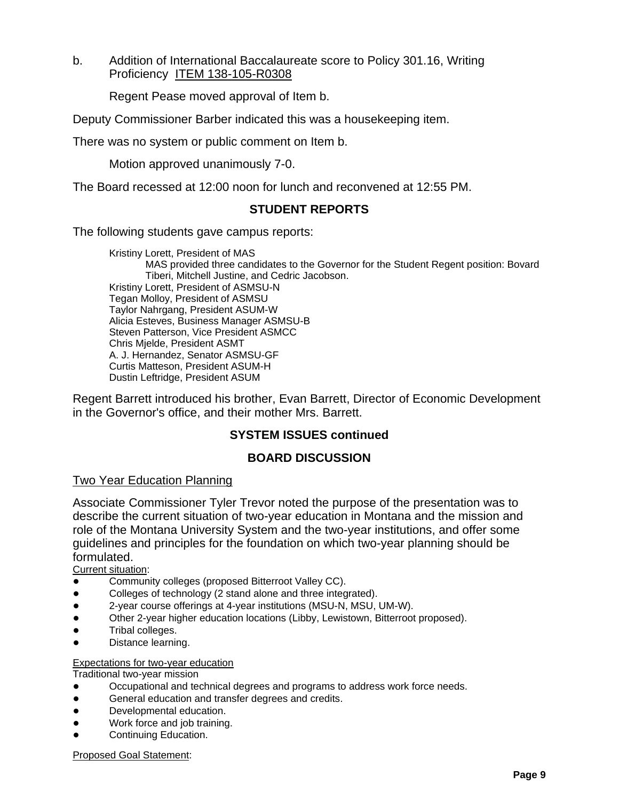b. Addition of International Baccalaureate score to Policy 301.16, Writing Proficiency ITEM 138-105-R0308

Regent Pease moved approval of Item b.

Deputy Commissioner Barber indicated this was a housekeeping item.

There was no system or public comment on Item b.

Motion approved unanimously 7-0.

The Board recessed at 12:00 noon for lunch and reconvened at 12:55 PM.

## **STUDENT REPORTS**

The following students gave campus reports:

Kristiny Lorett, President of MAS MAS provided three candidates to the Governor for the Student Regent position: Bovard Tiberi, Mitchell Justine, and Cedric Jacobson. Kristiny Lorett, President of ASMSU-N Tegan Molloy, President of ASMSU Taylor Nahrgang, President ASUM-W Alicia Esteves, Business Manager ASMSU-B Steven Patterson, Vice President ASMCC Chris Mjelde, President ASMT A. J. Hernandez, Senator ASMSU-GF Curtis Matteson, President ASUM-H Dustin Leftridge, President ASUM

Regent Barrett introduced his brother, Evan Barrett, Director of Economic Development in the Governor's office, and their mother Mrs. Barrett.

## **SYSTEM ISSUES continued**

## **BOARD DISCUSSION**

## Two Year Education Planning

Associate Commissioner Tyler Trevor noted the purpose of the presentation was to describe the current situation of two-year education in Montana and the mission and role of the Montana University System and the two-year institutions, and offer some guidelines and principles for the foundation on which two-year planning should be formulated.

Current situation:

- Community colleges (proposed Bitterroot Valley CC).
- Colleges of technology (2 stand alone and three integrated).
- 2-year course offerings at 4-year institutions (MSU-N, MSU, UM-W).
- Other 2-year higher education locations (Libby, Lewistown, Bitterroot proposed).
- Tribal colleges.
- Distance learning.

#### Expectations for two-year education

Traditional two-year mission

- Occupational and technical degrees and programs to address work force needs.
- General education and transfer degrees and credits.
- Developmental education.
- Work force and job training.
- Continuing Education.

Proposed Goal Statement: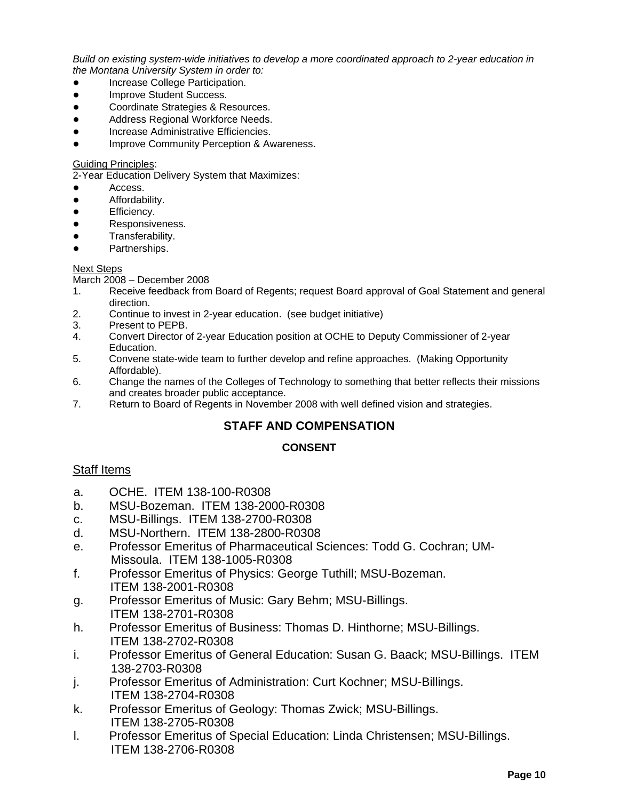*Build on existing system-wide initiatives to develop a more coordinated approach to 2-year education in the Montana University System in order to:*

- Increase College Participation.
- Improve Student Success.
- Coordinate Strategies & Resources.
- Address Regional Workforce Needs.
- Increase Administrative Efficiencies.
- Improve Community Perception & Awareness.

#### Guiding Principles:

2-Year Education Delivery System that Maximizes:

- Access.
- Affordability.
- Efficiency.
- Responsiveness.
- Transferability.
- Partnerships.

#### Next Steps

March 2008 – December 2008

- 1. Receive feedback from Board of Regents; request Board approval of Goal Statement and general direction.
- 2. Continue to invest in 2-year education. (see budget initiative)
- 3. Present to PEPB.
- 4. Convert Director of 2-year Education position at OCHE to Deputy Commissioner of 2-year Education.
- 5. Convene state-wide team to further develop and refine approaches. (Making Opportunity Affordable).
- 6. Change the names of the Colleges of Technology to something that better reflects their missions and creates broader public acceptance.
- 7. Return to Board of Regents in November 2008 with well defined vision and strategies.

## **STAFF AND COMPENSATION**

## **CONSENT**

## Staff Items

- a. OCHE. ITEM 138-100-R0308
- b. MSU-Bozeman. ITEM 138-2000-R0308
- c. MSU-Billings. ITEM 138-2700-R0308
- d. MSU-Northern. ITEM 138-2800-R0308
- e. Professor Emeritus of Pharmaceutical Sciences: Todd G. Cochran; UM-Missoula. ITEM 138-1005-R0308
- f. Professor Emeritus of Physics: George Tuthill; MSU-Bozeman. ITEM 138-2001-R0308
- g. Professor Emeritus of Music: Gary Behm; MSU-Billings. ITEM 138-2701-R0308
- h. Professor Emeritus of Business: Thomas D. Hinthorne; MSU-Billings. ITEM 138-2702-R0308
- i. Professor Emeritus of General Education: Susan G. Baack; MSU-Billings. ITEM 138-2703-R0308
- j. Professor Emeritus of Administration: Curt Kochner; MSU-Billings. ITEM 138-2704-R0308
- k. Professor Emeritus of Geology: Thomas Zwick; MSU-Billings. ITEM 138-2705-R0308
- l. Professor Emeritus of Special Education: Linda Christensen; MSU-Billings. ITEM 138-2706-R0308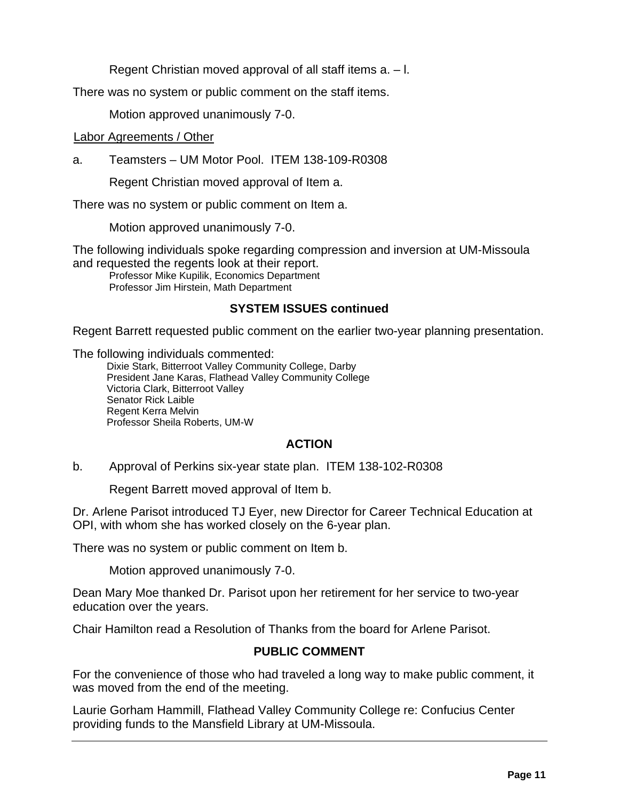Regent Christian moved approval of all staff items a. – l.

There was no system or public comment on the staff items.

Motion approved unanimously 7-0.

## Labor Agreements / Other

a. Teamsters – UM Motor Pool. ITEM 138-109-R0308

Regent Christian moved approval of Item a.

There was no system or public comment on Item a.

Motion approved unanimously 7-0.

The following individuals spoke regarding compression and inversion at UM-Missoula and requested the regents look at their report.

Professor Mike Kupilik, Economics Department Professor Jim Hirstein, Math Department

# **SYSTEM ISSUES continued**

Regent Barrett requested public comment on the earlier two-year planning presentation.

The following individuals commented:

Dixie Stark, Bitterroot Valley Community College, Darby President Jane Karas, Flathead Valley Community College Victoria Clark, Bitterroot Valley Senator Rick Laible Regent Kerra Melvin Professor Sheila Roberts, UM-W

# **ACTION**

b. Approval of Perkins six-year state plan. ITEM 138-102-R0308

Regent Barrett moved approval of Item b.

Dr. Arlene Parisot introduced TJ Eyer, new Director for Career Technical Education at OPI, with whom she has worked closely on the 6-year plan.

There was no system or public comment on Item b.

Motion approved unanimously 7-0.

Dean Mary Moe thanked Dr. Parisot upon her retirement for her service to two-year education over the years.

Chair Hamilton read a Resolution of Thanks from the board for Arlene Parisot.

# **PUBLIC COMMENT**

For the convenience of those who had traveled a long way to make public comment, it was moved from the end of the meeting.

Laurie Gorham Hammill, Flathead Valley Community College re: Confucius Center providing funds to the Mansfield Library at UM-Missoula.